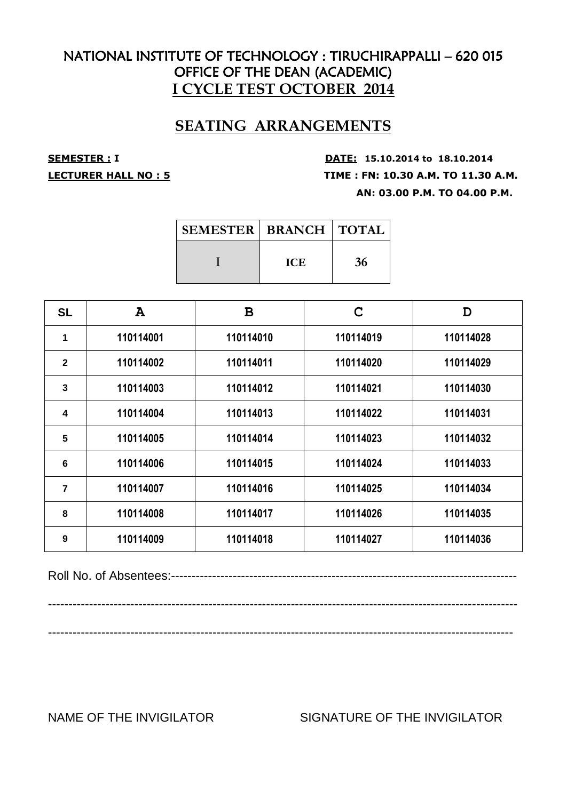## **SEATING ARRANGEMENTS**

**SEMESTER : <sup>I</sup> DATE: 15.10.2014 to 18.10.2014 LECTURER HALL NO : 5 TIME : FN: 10.30 A.M. TO 11.30 A.M. AN: 03.00 P.M. TO 04.00 P.M.**

| <b>SEMESTER   BRANCH   TOTAL</b> |            |    |
|----------------------------------|------------|----|
|                                  | <b>ICE</b> | 36 |

| <b>SL</b>    | A         | B         | $\mathbf C$ | D         |
|--------------|-----------|-----------|-------------|-----------|
| 1            | 110114001 | 110114010 | 110114019   | 110114028 |
| $\mathbf{2}$ | 110114002 | 110114011 | 110114020   | 110114029 |
| 3            | 110114003 | 110114012 | 110114021   | 110114030 |
| 4            | 110114004 | 110114013 | 110114022   | 110114031 |
| 5            | 110114005 | 110114014 | 110114023   | 110114032 |
| 6            | 110114006 | 110114015 | 110114024   | 110114033 |
| 7            | 110114007 | 110114016 | 110114025   | 110114034 |
| 8            | 110114008 | 110114017 | 110114026   | 110114035 |
| 9            | 110114009 | 110114018 | 110114027   | 110114036 |

Roll No. of Absentees:------------------------------------------------------------------------------------

------------------------------------------------------------------------------------------------------------------

-----------------------------------------------------------------------------------------------------------------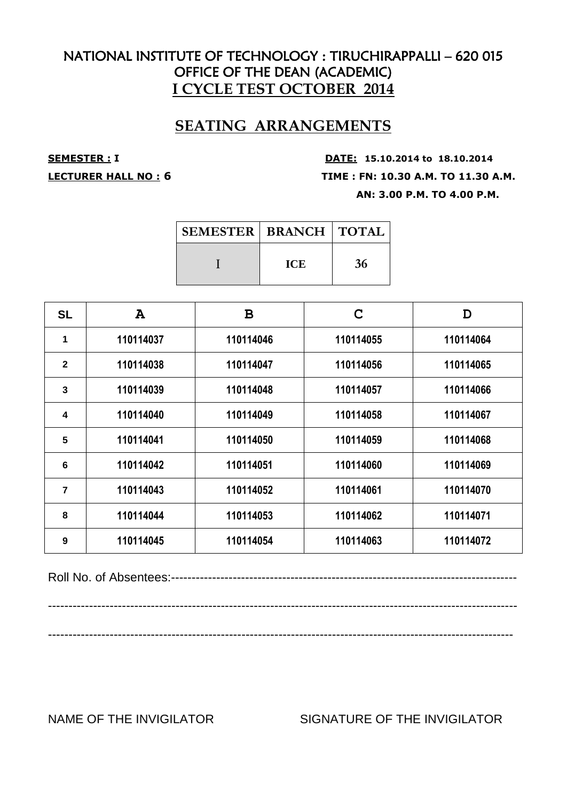## **SEATING ARRANGEMENTS**

**SEMESTER : <sup>I</sup> DATE: 15.10.2014 to 18.10.2014 LECTURER HALL NO : 6 TIME : FN: 10.30 A.M. TO 11.30 A.M. AN: 3.00 P.M. TO 4.00 P.M.**

| <b>SEMESTER   BRANCH   TOTAL</b> |            |    |
|----------------------------------|------------|----|
|                                  | <b>ICE</b> | 36 |

| <b>SL</b>       | $\mathbf{A}$ | B         | C         | D         |
|-----------------|--------------|-----------|-----------|-----------|
| 1               | 110114037    | 110114046 | 110114055 | 110114064 |
| $\overline{2}$  | 110114038    | 110114047 | 110114056 | 110114065 |
| 3               | 110114039    | 110114048 | 110114057 | 110114066 |
| 4               | 110114040    | 110114049 | 110114058 | 110114067 |
| 5               | 110114041    | 110114050 | 110114059 | 110114068 |
| $6\phantom{1}6$ | 110114042    | 110114051 | 110114060 | 110114069 |
| 7               | 110114043    | 110114052 | 110114061 | 110114070 |
| 8               | 110114044    | 110114053 | 110114062 | 110114071 |
| 9               | 110114045    | 110114054 | 110114063 | 110114072 |

Roll No. of Absentees:------------------------------------------------------------------------------------

------------------------------------------------------------------------------------------------------------------

-----------------------------------------------------------------------------------------------------------------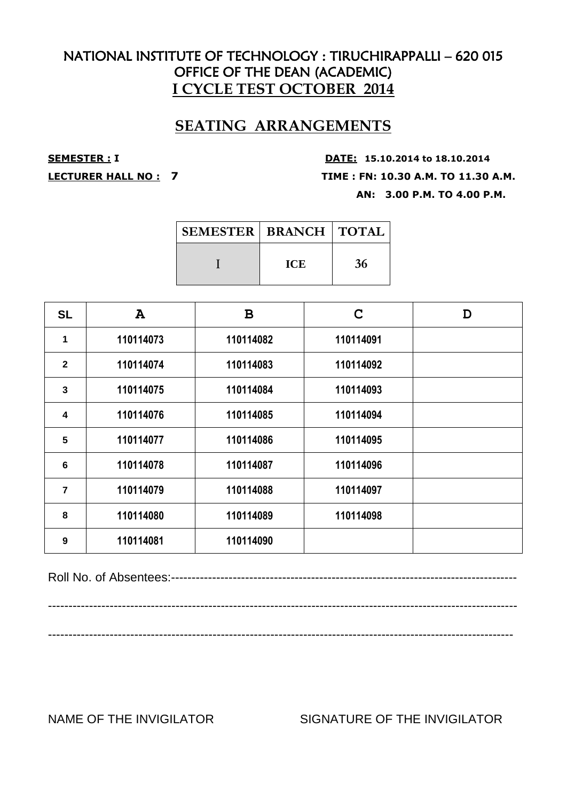## **SEATING ARRANGEMENTS**

**SEMESTER : <sup>I</sup> DATE: 15.10.2014 to 18.10.2014 LECTURER HALL NO : 7 TIME : FN: 10.30 A.M. TO 11.30 A.M. AN: 3.00 P.M. TO 4.00 P.M.**

| <b>SEMESTER   BRANCH   TOTAL</b> |            |    |
|----------------------------------|------------|----|
|                                  | <b>ICE</b> | 36 |

| <b>SL</b>               | $\mathbf{A}$ | B         | C         | D |
|-------------------------|--------------|-----------|-----------|---|
| 1                       | 110114073    | 110114082 | 110114091 |   |
| $\mathbf{2}$            | 110114074    | 110114083 | 110114092 |   |
| $\mathbf{3}$            | 110114075    | 110114084 | 110114093 |   |
| $\overline{\mathbf{4}}$ | 110114076    | 110114085 | 110114094 |   |
| 5                       | 110114077    | 110114086 | 110114095 |   |
| 6                       | 110114078    | 110114087 | 110114096 |   |
| $\overline{7}$          | 110114079    | 110114088 | 110114097 |   |
| 8                       | 110114080    | 110114089 | 110114098 |   |
| 9                       | 110114081    | 110114090 |           |   |

Roll No. of Absentees:------------------------------------------------------------------------------------

------------------------------------------------------------------------------------------------------------------

-----------------------------------------------------------------------------------------------------------------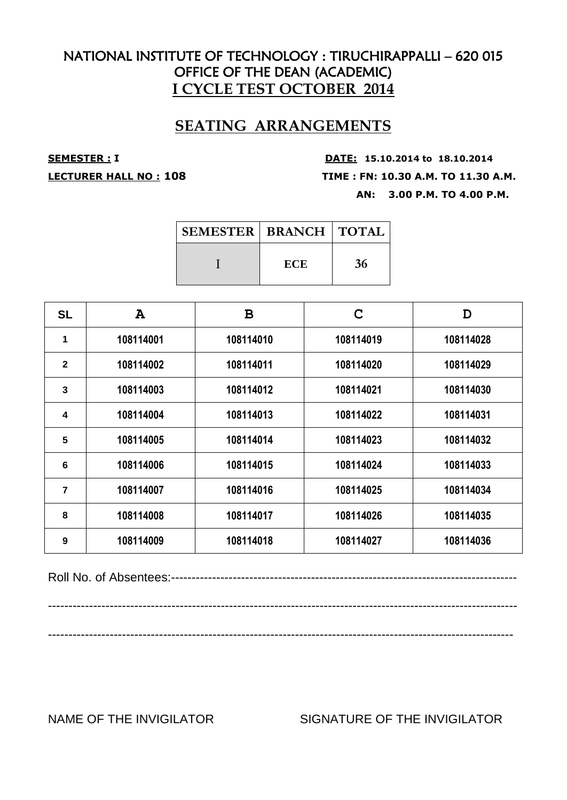## **SEATING ARRANGEMENTS**

**SEMESTER : <sup>I</sup> DATE: 15.10.2014 to 18.10.2014 LECTURER HALL NO : 108 TIME : FN: 10.30 A.M. TO 11.30 A.M. AN: 3.00 P.M. TO 4.00 P.M.**

| <b>SEMESTER   BRANCH   TOTAL  </b> |     |    |
|------------------------------------|-----|----|
|                                    | ECE | 36 |

| <b>SL</b>    | $\mathbf{A}$ | B         | C         | D         |
|--------------|--------------|-----------|-----------|-----------|
| 1            | 108114001    | 108114010 | 108114019 | 108114028 |
| $\mathbf{2}$ | 108114002    | 108114011 | 108114020 | 108114029 |
| 3            | 108114003    | 108114012 | 108114021 | 108114030 |
| 4            | 108114004    | 108114013 | 108114022 | 108114031 |
| 5            | 108114005    | 108114014 | 108114023 | 108114032 |
| 6            | 108114006    | 108114015 | 108114024 | 108114033 |
| 7            | 108114007    | 108114016 | 108114025 | 108114034 |
| 8            | 108114008    | 108114017 | 108114026 | 108114035 |
| 9            | 108114009    | 108114018 | 108114027 | 108114036 |

Roll No. of Absentees:------------------------------------------------------------------------------------

------------------------------------------------------------------------------------------------------------------

-----------------------------------------------------------------------------------------------------------------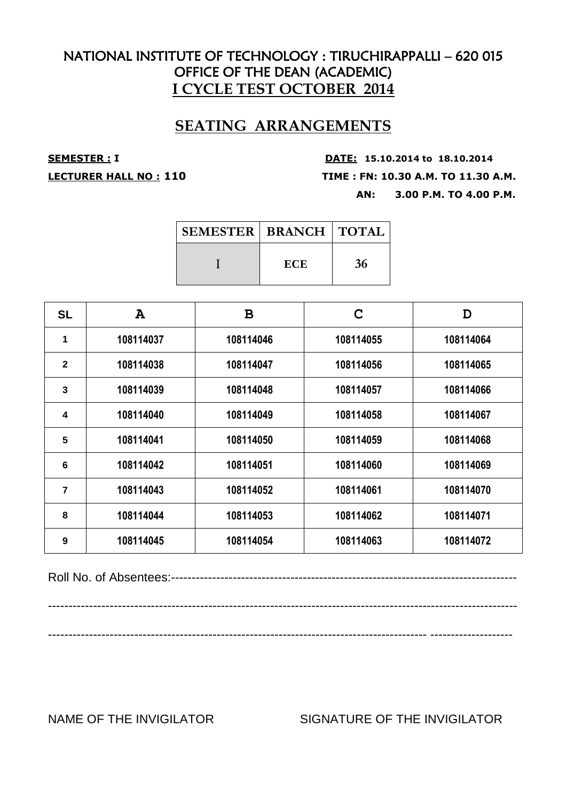## **SEATING ARRANGEMENTS**

**SEMESTER : <sup>I</sup> DATE: 15.10.2014 to 18.10.2014 LECTURER HALL NO : 110 TIME : FN: 10.30 A.M. TO 11.30 A.M. AN: 3.00 P.M. TO 4.00 P.M.**

| <b>SEMESTER   BRANCH   TOTAL</b> |            |    |
|----------------------------------|------------|----|
|                                  | <b>ECE</b> | 36 |

| <b>SL</b>    | $\mathbf{A}$ | B         | C         | D         |
|--------------|--------------|-----------|-----------|-----------|
| 1            | 108114037    | 108114046 | 108114055 | 108114064 |
| $\mathbf{2}$ | 108114038    | 108114047 | 108114056 | 108114065 |
| 3            | 108114039    | 108114048 | 108114057 | 108114066 |
| 4            | 108114040    | 108114049 | 108114058 | 108114067 |
| 5            | 108114041    | 108114050 | 108114059 | 108114068 |
| 6            | 108114042    | 108114051 | 108114060 | 108114069 |
| 7            | 108114043    | 108114052 | 108114061 | 108114070 |
| 8            | 108114044    | 108114053 | 108114062 | 108114071 |
| 9            | 108114045    | 108114054 | 108114063 | 108114072 |

Roll No. of Absentees:------------------------------------------------------------------------------------

------------------------------------------------------------------------------------------------------------------

-------------------------------------------------------------------------------------------- --------------------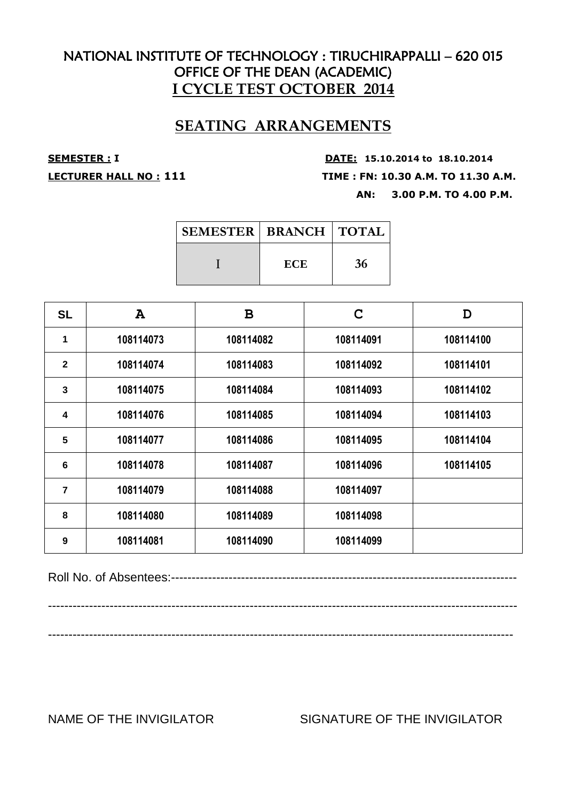## **SEATING ARRANGEMENTS**

**SEMESTER : <sup>I</sup> DATE: 15.10.2014 to 18.10.2014 LECTURER HALL NO : 111 TIME : FN: 10.30 A.M. TO 11.30 A.M. AN: 3.00 P.M. TO 4.00 P.M.**

| <b>SEMESTER   BRANCH   TOTAL  </b> |     |    |
|------------------------------------|-----|----|
|                                    | ECE | 36 |

| <b>SL</b>      | $\mathbf{A}$ | B         | C         | D         |
|----------------|--------------|-----------|-----------|-----------|
| 1              | 108114073    | 108114082 | 108114091 | 108114100 |
| $\overline{2}$ | 108114074    | 108114083 | 108114092 | 108114101 |
| 3              | 108114075    | 108114084 | 108114093 | 108114102 |
| 4              | 108114076    | 108114085 | 108114094 | 108114103 |
| 5              | 108114077    | 108114086 | 108114095 | 108114104 |
| 6              | 108114078    | 108114087 | 108114096 | 108114105 |
| 7              | 108114079    | 108114088 | 108114097 |           |
| 8              | 108114080    | 108114089 | 108114098 |           |
| 9              | 108114081    | 108114090 | 108114099 |           |

Roll No. of Absentees:------------------------------------------------------------------------------------

------------------------------------------------------------------------------------------------------------------

-----------------------------------------------------------------------------------------------------------------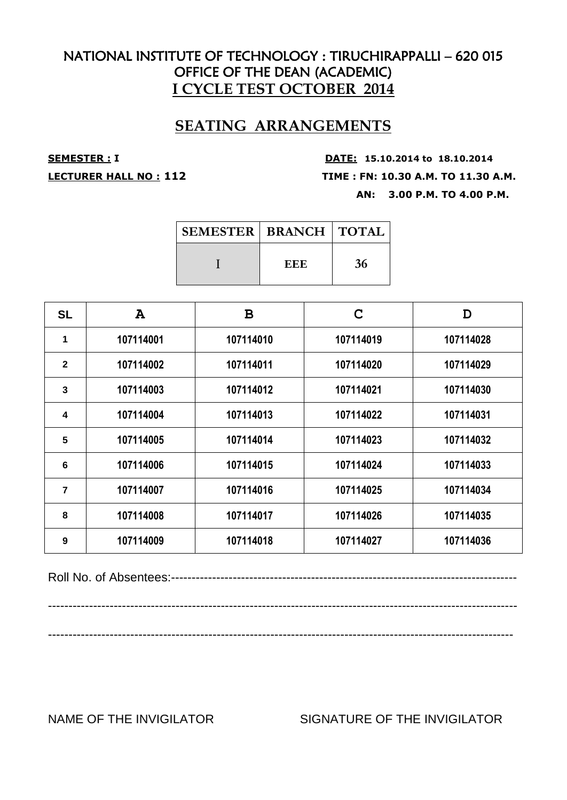## **SEATING ARRANGEMENTS**

**SEMESTER : <sup>I</sup> DATE: 15.10.2014 to 18.10.2014 LECTURER HALL NO : 112 TIME : FN: 10.30 A.M. TO 11.30 A.M. AN: 3.00 P.M. TO 4.00 P.M.**

| <b>SEMESTER   BRANCH   TOTAL  </b> |     |    |
|------------------------------------|-----|----|
|                                    | EEE | 36 |

| <b>SL</b>    | $\mathbf{A}$ | B         | C         | D         |
|--------------|--------------|-----------|-----------|-----------|
| 1            | 107114001    | 107114010 | 107114019 | 107114028 |
| $\mathbf{2}$ | 107114002    | 107114011 | 107114020 | 107114029 |
| 3            | 107114003    | 107114012 | 107114021 | 107114030 |
| 4            | 107114004    | 107114013 | 107114022 | 107114031 |
| 5            | 107114005    | 107114014 | 107114023 | 107114032 |
| 6            | 107114006    | 107114015 | 107114024 | 107114033 |
| 7            | 107114007    | 107114016 | 107114025 | 107114034 |
| 8            | 107114008    | 107114017 | 107114026 | 107114035 |
| 9            | 107114009    | 107114018 | 107114027 | 107114036 |

Roll No. of Absentees:------------------------------------------------------------------------------------

------------------------------------------------------------------------------------------------------------------

-----------------------------------------------------------------------------------------------------------------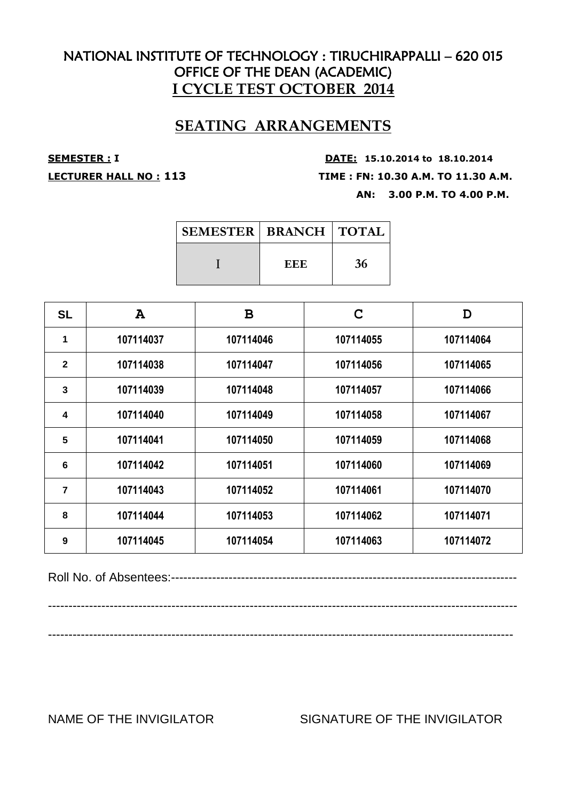## **SEATING ARRANGEMENTS**

**SEMESTER : <sup>I</sup> DATE: 15.10.2014 to 18.10.2014 LECTURER HALL NO : 113 TIME : FN: 10.30 A.M. TO 11.30 A.M. AN: 3.00 P.M. TO 4.00 P.M.**

| <b>SEMESTER   BRANCH   TOTAL</b> |     |    |
|----------------------------------|-----|----|
|                                  | EEE | 36 |

| <b>SL</b>      | $\mathbf{A}$ | B         | C         | D         |
|----------------|--------------|-----------|-----------|-----------|
| 1              | 107114037    | 107114046 | 107114055 | 107114064 |
| $\overline{2}$ | 107114038    | 107114047 | 107114056 | 107114065 |
| $\overline{3}$ | 107114039    | 107114048 | 107114057 | 107114066 |
| 4              | 107114040    | 107114049 | 107114058 | 107114067 |
| 5              | 107114041    | 107114050 | 107114059 | 107114068 |
| 6              | 107114042    | 107114051 | 107114060 | 107114069 |
| 7              | 107114043    | 107114052 | 107114061 | 107114070 |
| 8              | 107114044    | 107114053 | 107114062 | 107114071 |
| 9              | 107114045    | 107114054 | 107114063 | 107114072 |

Roll No. of Absentees:------------------------------------------------------------------------------------

------------------------------------------------------------------------------------------------------------------

-----------------------------------------------------------------------------------------------------------------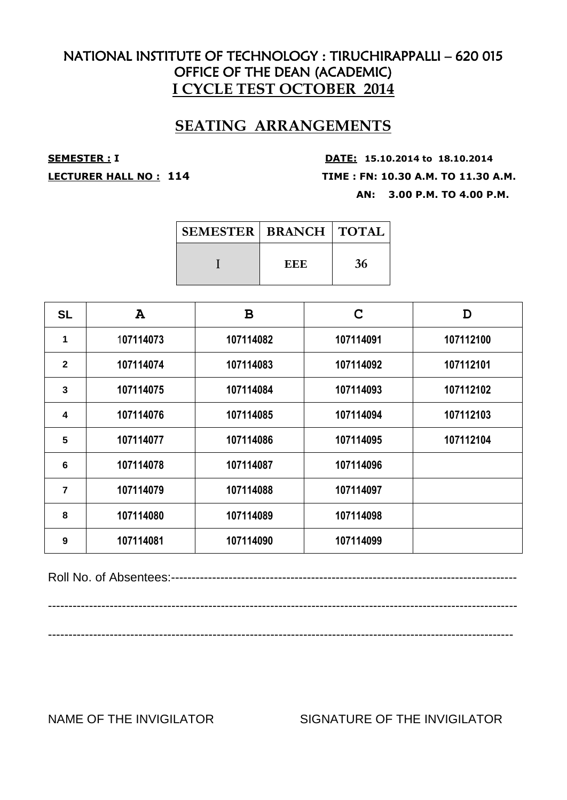## **SEATING ARRANGEMENTS**

**SEMESTER : <sup>I</sup> DATE: 15.10.2014 to 18.10.2014 LECTURER HALL NO : 114 TIME : FN: 10.30 A.M. TO 11.30 A.M. AN: 3.00 P.M. TO 4.00 P.M.**

| <b>SEMESTER   BRANCH   TOTAL  </b> |     |    |
|------------------------------------|-----|----|
|                                    | EEE | 36 |

| <b>SL</b>    | $\mathbf{A}$ | B         | C         | D         |
|--------------|--------------|-----------|-----------|-----------|
| 1            | 107114073    | 107114082 | 107114091 | 107112100 |
| $\mathbf{2}$ | 107114074    | 107114083 | 107114092 | 107112101 |
| 3            | 107114075    | 107114084 | 107114093 | 107112102 |
| 4            | 107114076    | 107114085 | 107114094 | 107112103 |
| 5            | 107114077    | 107114086 | 107114095 | 107112104 |
| 6            | 107114078    | 107114087 | 107114096 |           |
| 7            | 107114079    | 107114088 | 107114097 |           |
| 8            | 107114080    | 107114089 | 107114098 |           |
| 9            | 107114081    | 107114090 | 107114099 |           |

Roll No. of Absentees:------------------------------------------------------------------------------------

------------------------------------------------------------------------------------------------------------------

-----------------------------------------------------------------------------------------------------------------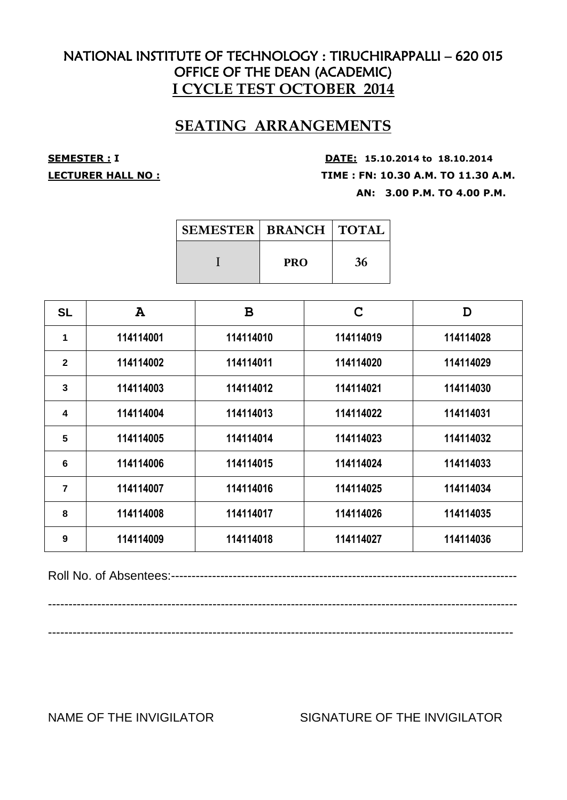## **SEATING ARRANGEMENTS**

**SEMESTER : <sup>I</sup> DATE: 15.10.2014 to 18.10.2014 LECTURER HALL NO : TIME : FN: 10.30 A.M. TO 11.30 A.M. AN: 3.00 P.M. TO 4.00 P.M.**

| <b>SEMESTER   BRANCH   TOTAL</b> |            |    |
|----------------------------------|------------|----|
|                                  | <b>PRO</b> | 36 |

| <b>SL</b>               | $\mathbf{A}$ | B         | C         | D         |
|-------------------------|--------------|-----------|-----------|-----------|
| 1                       | 114114001    | 114114010 | 114114019 | 114114028 |
| $\overline{2}$          | 114114002    | 114114011 | 114114020 | 114114029 |
| 3                       | 114114003    | 114114012 | 114114021 | 114114030 |
| $\overline{\mathbf{4}}$ | 114114004    | 114114013 | 114114022 | 114114031 |
| 5                       | 114114005    | 114114014 | 114114023 | 114114032 |
| 6                       | 114114006    | 114114015 | 114114024 | 114114033 |
| 7                       | 114114007    | 114114016 | 114114025 | 114114034 |
| 8                       | 114114008    | 114114017 | 114114026 | 114114035 |
| 9                       | 114114009    | 114114018 | 114114027 | 114114036 |

Roll No. of Absentees:------------------------------------------------------------------------------------

------------------------------------------------------------------------------------------------------------------

-----------------------------------------------------------------------------------------------------------------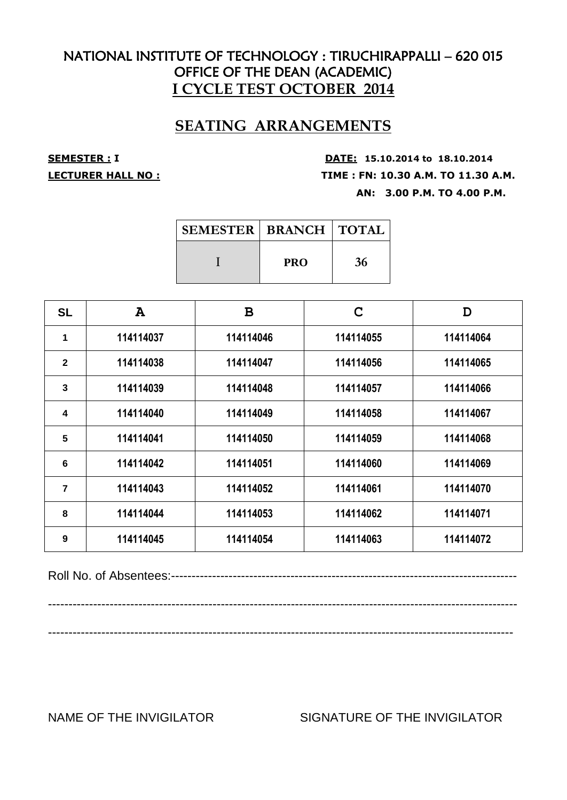## **SEATING ARRANGEMENTS**

**SEMESTER : <sup>I</sup> DATE: 15.10.2014 to 18.10.2014 LECTURER HALL NO : TIME : FN: 10.30 A.M. TO 11.30 A.M. AN: 3.00 P.M. TO 4.00 P.M.**

| <b>SEMESTER   BRANCH   TOTAL</b> |            |    |
|----------------------------------|------------|----|
|                                  | <b>PRO</b> | 36 |

| <b>SL</b>      | $\mathbf{A}$ | B         | C         | D         |
|----------------|--------------|-----------|-----------|-----------|
| 1              | 114114037    | 114114046 | 114114055 | 114114064 |
| $\overline{2}$ | 114114038    | 114114047 | 114114056 | 114114065 |
| 3              | 114114039    | 114114048 | 114114057 | 114114066 |
| 4              | 114114040    | 114114049 | 114114058 | 114114067 |
| 5              | 114114041    | 114114050 | 114114059 | 114114068 |
| 6              | 114114042    | 114114051 | 114114060 | 114114069 |
| 7              | 114114043    | 114114052 | 114114061 | 114114070 |
| 8              | 114114044    | 114114053 | 114114062 | 114114071 |
| 9              | 114114045    | 114114054 | 114114063 | 114114072 |

Roll No. of Absentees:------------------------------------------------------------------------------------

------------------------------------------------------------------------------------------------------------------

-----------------------------------------------------------------------------------------------------------------